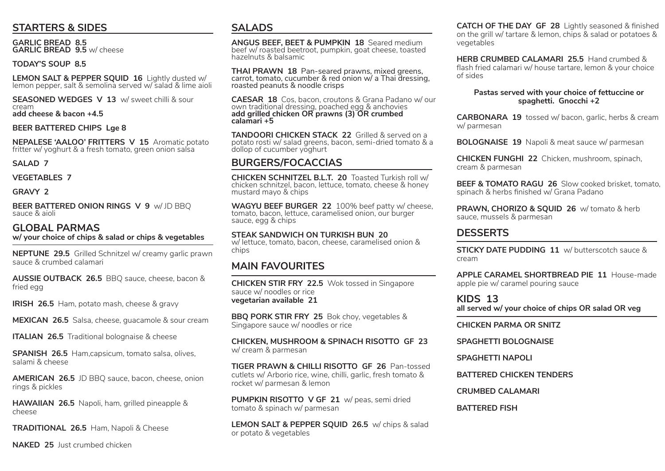#### **STARTERS & SIDES**

**GARLIC BREAD 8.5 GARLIC BREAD 9.5** w/ cheese

#### **TODAY'S SOUP 8.5**

**LEMON SALT & PEPPER SQUID 16** Lightly dusted w/ lemon pepper, salt & semolina served w/ salad & lime aioli

**SEASONED WEDGES V 13** w/ sweet chilli & sour cream **add cheese & bacon +4.5**

#### **BEER BATTERED CHIPS Lge 8**

**NEPALESE 'AALOO' FRITTERS V 15** Aromatic potato fritter w/ yoghurt & a fresh tomato, green onion salsa

**SALAD 7**

**VEGETABLES 7**

**GRAVY 2**

**BEER BATTERED ONION RINGS V 9** w/ JD BBQ sauce & aioli

## **GLOBAL PARMAS w/ your choice of chips & salad or chips & vegetables**

**NEPTUNE 29.5** Grilled Schnitzel w/ creamy garlic prawn sauce & crumbed calamari

**AUSSIE OUTBACK 26.5** BBQ sauce, cheese, bacon & fried egg

**IRISH 26.5** Ham, potato mash, cheese & gravy

**MEXICAN 26.5** Salsa, cheese, guacamole & sour cream

**ITALIAN 26.5** Traditional bolognaise & cheese

**SPANISH 26.5** Ham,capsicum, tomato salsa, olives, salami & cheese

**AMERICAN 26.5** JD BBQ sauce, bacon, cheese, onion rings & pickles

**HAWAIIAN 26.5** Napoli, ham, grilled pineapple & cheese

**TRADITIONAL 26.5** Ham, Napoli & Cheese

**NAKED 25** Just crumbed chicken

#### **SALADS**

**ANGUS BEEF, BEET & PUMPKIN 18** Seared medium beef w/ roasted beetroot, pumpkin, goat cheese, toasted hazelnuts & balsamic

**THAI PRAWN 18** Pan-seared prawns, mixed greens, carrot, tomato, cucumber & red onion w/ a Thai dressing, roasted peanuts & noodle crisps

**CAESAR 18** Cos, bacon, croutons & Grana Padano w/ our own traditional dressing, poached egg & anchovies **add grilled chicken OR prawns (3) OR crumbed calamari +5**

**TANDOORI CHICKEN STACK 22** Grilled & served on a potato rosti w/ salad greens, bacon, semi-dried tomato & a dollop of cucumber yoghurt

#### **BURGERS/FOCACCIAS**

**CHICKEN SCHNITZEL B.L.T. 20** Toasted Turkish roll w/ chicken schnitzel, bacon, lettuce, tomato, cheese & honey mustard mayo & chips

**WAGYU BEEF BURGER 22** 100% beef patty w/ cheese, tomato, bacon, lettuce, caramelised onion, our burger sauce, egg & chips

**STEAK SANDWICH ON TURKISH BUN 20** w/ lettuce, tomato, bacon, cheese, caramelised onion & chips

#### **MAIN FAVOURITES**

**CHICKEN STIR FRY 22.5** Wok tossed in Singapore sauce w/ noodles or rice **vegetarian available 21**

**BBQ PORK STIR FRY 25** Bok choy, vegetables & Singapore sauce w/ noodles or rice

**CHICKEN, MUSHROOM & SPINACH RISOTTO GF 23**  w/ cream & parmesan

**TIGER PRAWN & CHILLI RISOTTO GF 26** Pan-tossed cutlets w/ Arborio rice, wine, chilli, garlic, fresh tomato & rocket w/ parmesan & lemon

**PUMPKIN RISOTTO V GF 21** w/ peas, semi dried tomato & spinach w/ parmesan

**LEMON SALT & PEPPER SQUID 26.5** w/ chips & salad or potato & vegetables

**CATCH OF THE DAY GF 28** Lightly seasoned & finished on the grill w/ tartare & lemon, chips & salad or potatoes & vegetables

**HERB CRUMBED CALAMARI 25.5** Hand crumbed & flash fried calamari w/ house tartare, lemon & your choice of sides

**Pastas served with your choice of fettuccine or spaghetti. Gnocchi +2**

**CARBONARA 19** tossed w/ bacon, garlic, herbs & cream w/ parmesan

**BOLOGNAISE 19** Napoli & meat sauce w/ parmesan

**CHICKEN FUNGHI 22** Chicken, mushroom, spinach, cream & parmesan

**BEEF & TOMATO RAGU 26** Slow cooked brisket, tomato, spinach & herbs finished w/ Grana Padano

**PRAWN, CHORIZO & SQUID 26** w/ tomato & herb sauce, mussels & parmesan

#### **DESSERTS**

**STICKY DATE PUDDING 11** w/ butterscotch sauce & cream

**APPLE CARAMEL SHORTBREAD PIE 11** House-made apple pie w/ caramel pouring sauce

**KIDS 13 all served w/ your choice of chips OR salad OR veg**

**CHICKEN PARMA OR SNITZ**

**SPAGHETTI BOLOGNAISE**

**SPAGHETTI NAPOLI**

**BATTERED CHICKEN TENDERS**

**CRUMBED CALAMARI**

**BATTERED FISH**